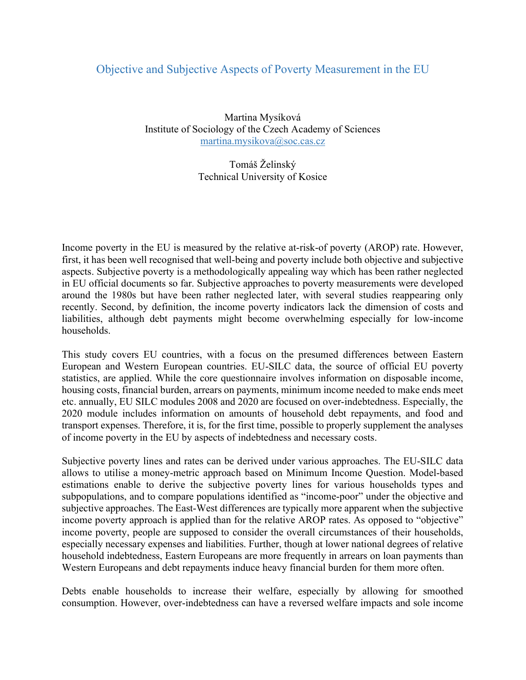## Objective and Subjective Aspects of Poverty Measurement in the EU

Martina Mysíková Institute of Sociology of the Czech Academy of Sciences martina.mysikova@soc.cas.cz

> Tomáš Želinský Technical University of Kosice

Income poverty in the EU is measured by the relative at-risk-of poverty (AROP) rate. However, first, it has been well recognised that well-being and poverty include both objective and subjective aspects. Subjective poverty is a methodologically appealing way which has been rather neglected in EU official documents so far. Subjective approaches to poverty measurements were developed around the 1980s but have been rather neglected later, with several studies reappearing only recently. Second, by definition, the income poverty indicators lack the dimension of costs and liabilities, although debt payments might become overwhelming especially for low-income households.

This study covers EU countries, with a focus on the presumed differences between Eastern European and Western European countries. EU-SILC data, the source of official EU poverty statistics, are applied. While the core questionnaire involves information on disposable income, housing costs, financial burden, arrears on payments, minimum income needed to make ends meet etc. annually, EU SILC modules 2008 and 2020 are focused on over-indebtedness. Especially, the 2020 module includes information on amounts of household debt repayments, and food and transport expenses. Therefore, it is, for the first time, possible to properly supplement the analyses of income poverty in the EU by aspects of indebtedness and necessary costs.

Subjective poverty lines and rates can be derived under various approaches. The EU-SILC data allows to utilise a money-metric approach based on Minimum Income Question. Model-based estimations enable to derive the subjective poverty lines for various households types and subpopulations, and to compare populations identified as "income-poor" under the objective and subjective approaches. The East-West differences are typically more apparent when the subjective income poverty approach is applied than for the relative AROP rates. As opposed to "objective" income poverty, people are supposed to consider the overall circumstances of their households, especially necessary expenses and liabilities. Further, though at lower national degrees of relative household indebtedness, Eastern Europeans are more frequently in arrears on loan payments than Western Europeans and debt repayments induce heavy financial burden for them more often.

Debts enable households to increase their welfare, especially by allowing for smoothed consumption. However, over-indebtedness can have a reversed welfare impacts and sole income